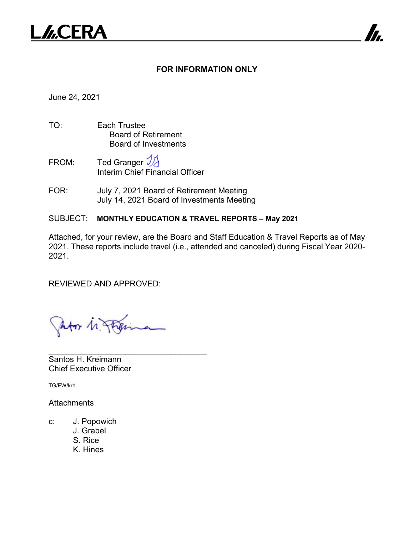

### **FOR INFORMATION ONLY**

7

June 24, 2021

- TO: Each Trustee Board of Retirement Board of Investments
- FROM: Ted Granger  $\mathcal{V}$ Interim Chief Financial Officer
- FOR: July 7, 2021 Board of Retirement Meeting July 14, 2021 Board of Investments Meeting

#### SUBJECT: **MONTHLY EDUCATION & TRAVEL REPORTS – May 2021**

Attached, for your review, are the Board and Staff Education & Travel Reports as of May 2021. These reports include travel (i.e., attended and canceled) during Fiscal Year 2020- 2021.

REVIEWED AND APPROVED:

An  $M$ 

\_\_\_\_\_\_\_\_\_\_\_\_\_\_\_\_\_\_\_\_\_\_\_\_\_\_\_\_\_\_\_\_\_\_\_

Santos H. Kreimann Chief Executive Officer

TG/EW/krh

**Attachments** 

- c: J. Popowich
	- J. Grabel
	- S. Rice
	- K. Hines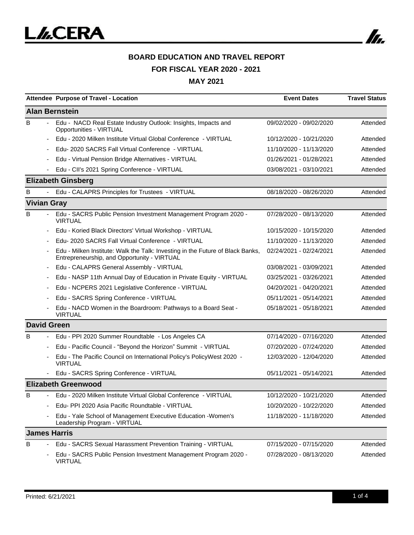

# **BOARD EDUCATION AND TRAVEL REPORT FOR FISCAL YEAR 2020 - 2021**

|                       | Attendee Purpose of Travel - Location                                                                                         | <b>Event Dates</b>      | <b>Travel Status</b> |  |  |  |
|-----------------------|-------------------------------------------------------------------------------------------------------------------------------|-------------------------|----------------------|--|--|--|
| <b>Alan Bernstein</b> |                                                                                                                               |                         |                      |  |  |  |
| B                     | Edu - NACD Real Estate Industry Outlook: Insights, Impacts and<br>Opportunities - VIRTUAL                                     | 09/02/2020 - 09/02/2020 | Attended             |  |  |  |
|                       | Edu - 2020 Milken Institute Virtual Global Conference - VIRTUAL                                                               | 10/12/2020 - 10/21/2020 | Attended             |  |  |  |
|                       | Edu-2020 SACRS Fall Virtual Conference - VIRTUAL                                                                              | 11/10/2020 - 11/13/2020 | Attended             |  |  |  |
|                       | Edu - Virtual Pension Bridge Alternatives - VIRTUAL                                                                           | 01/26/2021 - 01/28/2021 | Attended             |  |  |  |
|                       | Edu - CII's 2021 Spring Conference - VIRTUAL                                                                                  | 03/08/2021 - 03/10/2021 | Attended             |  |  |  |
|                       | <b>Elizabeth Ginsberg</b>                                                                                                     |                         |                      |  |  |  |
| B                     | Edu - CALAPRS Principles for Trustees - VIRTUAL                                                                               | 08/18/2020 - 08/26/2020 | Attended             |  |  |  |
| <b>Vivian Gray</b>    |                                                                                                                               |                         |                      |  |  |  |
| B                     | Edu - SACRS Public Pension Investment Management Program 2020 -<br><b>VIRTUAL</b>                                             | 07/28/2020 - 08/13/2020 | Attended             |  |  |  |
|                       | Edu - Koried Black Directors' Virtual Workshop - VIRTUAL                                                                      | 10/15/2020 - 10/15/2020 | Attended             |  |  |  |
|                       | Edu- 2020 SACRS Fall Virtual Conference - VIRTUAL                                                                             | 11/10/2020 - 11/13/2020 | Attended             |  |  |  |
|                       | Edu - Milken Institute: Walk the Talk: Investing in the Future of Black Banks,<br>Entrepreneurship, and Opportunity - VIRTUAL | 02/24/2021 - 02/24/2021 | Attended             |  |  |  |
|                       | Edu - CALAPRS General Assembly - VIRTUAL                                                                                      | 03/08/2021 - 03/09/2021 | Attended             |  |  |  |
|                       | Edu - NASP 11th Annual Day of Education in Private Equity - VIRTUAL                                                           | 03/25/2021 - 03/26/2021 | Attended             |  |  |  |
|                       | Edu - NCPERS 2021 Legislative Conference - VIRTUAL                                                                            | 04/20/2021 - 04/20/2021 | Attended             |  |  |  |
|                       | Edu - SACRS Spring Conference - VIRTUAL                                                                                       | 05/11/2021 - 05/14/2021 | Attended             |  |  |  |
|                       | Edu - NACD Women in the Boardroom: Pathways to a Board Seat -<br><b>VIRTUAL</b>                                               | 05/18/2021 - 05/18/2021 | Attended             |  |  |  |
| <b>David Green</b>    |                                                                                                                               |                         |                      |  |  |  |
| B                     | Edu - PPI 2020 Summer Roundtable - Los Angeles CA                                                                             | 07/14/2020 - 07/16/2020 | Attended             |  |  |  |
|                       | Edu - Pacific Council - "Beyond the Horizon" Summit - VIRTUAL                                                                 | 07/20/2020 - 07/24/2020 | Attended             |  |  |  |
|                       | Edu - The Pacific Council on International Policy's PolicyWest 2020 -<br><b>VIRTUAL</b>                                       | 12/03/2020 - 12/04/2020 | Attended             |  |  |  |
|                       | Edu - SACRS Spring Conference - VIRTUAL                                                                                       | 05/11/2021 - 05/14/2021 | Attended             |  |  |  |
|                       | <b>Elizabeth Greenwood</b>                                                                                                    |                         |                      |  |  |  |
| в                     | Edu - 2020 Milken Institute Virtual Global Conference - VIRTUAL                                                               | 10/12/2020 - 10/21/2020 | Attended             |  |  |  |
|                       | Edu- PPI 2020 Asia Pacific Roundtable - VIRTUAL                                                                               | 10/20/2020 - 10/22/2020 | Attended             |  |  |  |
|                       | Edu - Yale School of Management Executive Education - Women's<br>Leadership Program - VIRTUAL                                 | 11/18/2020 - 11/18/2020 | Attended             |  |  |  |
| <b>James Harris</b>   |                                                                                                                               |                         |                      |  |  |  |
| B                     | Edu - SACRS Sexual Harassment Prevention Training - VIRTUAL                                                                   | 07/15/2020 - 07/15/2020 | Attended             |  |  |  |
|                       | Edu - SACRS Public Pension Investment Management Program 2020 -<br><b>VIRTUAL</b>                                             | 07/28/2020 - 08/13/2020 | Attended             |  |  |  |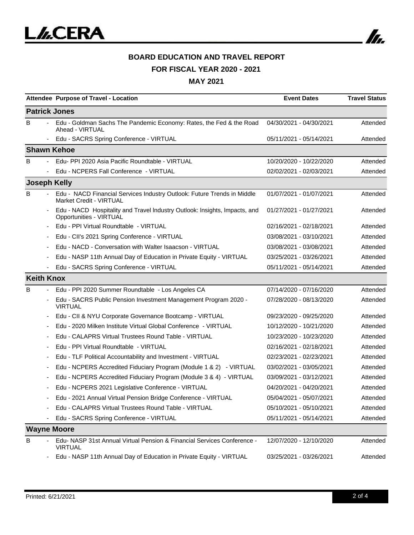

## **BOARD EDUCATION AND TRAVEL REPORT FOR FISCAL YEAR 2020 - 2021**

|                          | Attendee Purpose of Travel - Location                                                                     | <b>Event Dates</b>      | <b>Travel Status</b> |  |  |  |
|--------------------------|-----------------------------------------------------------------------------------------------------------|-------------------------|----------------------|--|--|--|
| <b>Patrick Jones</b>     |                                                                                                           |                         |                      |  |  |  |
| B                        | Edu - Goldman Sachs The Pandemic Economy: Rates, the Fed & the Road<br>Ahead - VIRTUAL                    | 04/30/2021 - 04/30/2021 | Attended             |  |  |  |
| $\overline{\phantom{a}}$ | Edu - SACRS Spring Conference - VIRTUAL                                                                   | 05/11/2021 - 05/14/2021 | Attended             |  |  |  |
| <b>Shawn Kehoe</b>       |                                                                                                           |                         |                      |  |  |  |
| B                        | Edu- PPI 2020 Asia Pacific Roundtable - VIRTUAL                                                           | 10/20/2020 - 10/22/2020 | Attended             |  |  |  |
|                          | Edu - NCPERS Fall Conference - VIRTUAL                                                                    | 02/02/2021 - 02/03/2021 | Attended             |  |  |  |
| <b>Joseph Kelly</b>      |                                                                                                           |                         |                      |  |  |  |
| B                        | Edu - NACD Financial Services Industry Outlook: Future Trends in Middle<br><b>Market Credit - VIRTUAL</b> | 01/07/2021 - 01/07/2021 | Attended             |  |  |  |
|                          | Edu - NACD Hospitality and Travel Industry Outlook: Insights, Impacts, and<br>Opportunities - VIRTUAL     | 01/27/2021 - 01/27/2021 | Attended             |  |  |  |
|                          | Edu - PPI Virtual Roundtable - VIRTUAL                                                                    | 02/16/2021 - 02/18/2021 | Attended             |  |  |  |
|                          | Edu - CII's 2021 Spring Conference - VIRTUAL                                                              | 03/08/2021 - 03/10/2021 | Attended             |  |  |  |
|                          | Edu - NACD - Conversation with Walter Isaacson - VIRTUAL                                                  | 03/08/2021 - 03/08/2021 | Attended             |  |  |  |
|                          | Edu - NASP 11th Annual Day of Education in Private Equity - VIRTUAL                                       | 03/25/2021 - 03/26/2021 | Attended             |  |  |  |
|                          | Edu - SACRS Spring Conference - VIRTUAL                                                                   | 05/11/2021 - 05/14/2021 | Attended             |  |  |  |
| <b>Keith Knox</b>        |                                                                                                           |                         |                      |  |  |  |
| B                        | Edu - PPI 2020 Summer Roundtable - Los Angeles CA                                                         | 07/14/2020 - 07/16/2020 | Attended             |  |  |  |
|                          | Edu - SACRS Public Pension Investment Management Program 2020 -<br><b>VIRTUAL</b>                         | 07/28/2020 - 08/13/2020 | Attended             |  |  |  |
|                          | Edu - CII & NYU Corporate Governance Bootcamp - VIRTUAL                                                   | 09/23/2020 - 09/25/2020 | Attended             |  |  |  |
|                          | Edu - 2020 Milken Institute Virtual Global Conference - VIRTUAL                                           | 10/12/2020 - 10/21/2020 | Attended             |  |  |  |
|                          | Edu - CALAPRS Virtual Trustees Round Table - VIRTUAL                                                      | 10/23/2020 - 10/23/2020 | Attended             |  |  |  |
|                          | Edu - PPI Virtual Roundtable - VIRTUAL                                                                    | 02/16/2021 - 02/18/2021 | Attended             |  |  |  |
|                          | Edu - TLF Political Accountability and Investment - VIRTUAL                                               | 02/23/2021 - 02/23/2021 | Attended             |  |  |  |
|                          | Edu - NCPERS Accredited Fiduciary Program (Module 1 & 2) - VIRTUAL                                        | 03/02/2021 - 03/05/2021 | Attended             |  |  |  |
|                          | Edu - NCPERS Accredited Fiduciary Program (Module 3 & 4) - VIRTUAL                                        | 03/09/2021 - 03/12/2021 | Attended             |  |  |  |
|                          | Edu - NCPERS 2021 Legislative Conference - VIRTUAL                                                        | 04/20/2021 - 04/20/2021 | Attended             |  |  |  |
|                          | Edu - 2021 Annual Virtual Pension Bridge Conference - VIRTUAL                                             | 05/04/2021 - 05/07/2021 | Attended             |  |  |  |
|                          | Edu - CALAPRS Virtual Trustees Round Table - VIRTUAL                                                      | 05/10/2021 - 05/10/2021 | Attended             |  |  |  |
|                          | Edu - SACRS Spring Conference - VIRTUAL                                                                   | 05/11/2021 - 05/14/2021 | Attended             |  |  |  |
| <b>Wayne Moore</b>       |                                                                                                           |                         |                      |  |  |  |
| В                        | Edu-NASP 31st Annual Virtual Pension & Financial Services Conference -<br><b>VIRTUAL</b>                  | 12/07/2020 - 12/10/2020 | Attended             |  |  |  |
|                          | Edu - NASP 11th Annual Day of Education in Private Equity - VIRTUAL                                       | 03/25/2021 - 03/26/2021 | Attended             |  |  |  |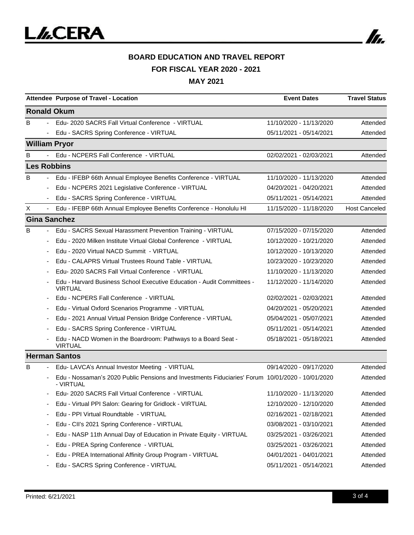

# **BOARD EDUCATION AND TRAVEL REPORT FOR FISCAL YEAR 2020 - 2021**

|                    |        | Attendee Purpose of Travel - Location                                                                         | <b>Event Dates</b>      | <b>Travel Status</b> |  |  |
|--------------------|--------|---------------------------------------------------------------------------------------------------------------|-------------------------|----------------------|--|--|
| <b>Ronald Okum</b> |        |                                                                                                               |                         |                      |  |  |
| B                  | $\sim$ | Edu-2020 SACRS Fall Virtual Conference - VIRTUAL                                                              | 11/10/2020 - 11/13/2020 | Attended             |  |  |
|                    |        | - Edu - SACRS Spring Conference - VIRTUAL                                                                     | 05/11/2021 - 05/14/2021 | Attended             |  |  |
|                    |        | <b>William Pryor</b>                                                                                          |                         |                      |  |  |
| в                  |        | Edu - NCPERS Fall Conference - VIRTUAL                                                                        | 02/02/2021 - 02/03/2021 | Attended             |  |  |
|                    |        | <b>Les Robbins</b>                                                                                            |                         |                      |  |  |
| B                  |        | Edu - IFEBP 66th Annual Employee Benefits Conference - VIRTUAL                                                | 11/10/2020 - 11/13/2020 | Attended             |  |  |
|                    |        | Edu - NCPERS 2021 Legislative Conference - VIRTUAL                                                            | 04/20/2021 - 04/20/2021 | Attended             |  |  |
|                    |        | Edu - SACRS Spring Conference - VIRTUAL                                                                       | 05/11/2021 - 05/14/2021 | Attended             |  |  |
| X                  |        | Edu - IFEBP 66th Annual Employee Benefits Conference - Honolulu HI                                            | 11/15/2020 - 11/18/2020 | <b>Host Canceled</b> |  |  |
|                    |        | <b>Gina Sanchez</b>                                                                                           |                         |                      |  |  |
| B                  |        | Edu - SACRS Sexual Harassment Prevention Training - VIRTUAL                                                   | 07/15/2020 - 07/15/2020 | Attended             |  |  |
|                    |        | Edu - 2020 Milken Institute Virtual Global Conference - VIRTUAL                                               | 10/12/2020 - 10/21/2020 | Attended             |  |  |
|                    |        | Edu - 2020 Virtual NACD Summit - VIRTUAL                                                                      | 10/12/2020 - 10/13/2020 | Attended             |  |  |
|                    |        | Edu - CALAPRS Virtual Trustees Round Table - VIRTUAL                                                          | 10/23/2020 - 10/23/2020 | Attended             |  |  |
|                    |        | Edu- 2020 SACRS Fall Virtual Conference - VIRTUAL                                                             | 11/10/2020 - 11/13/2020 | Attended             |  |  |
|                    |        | Edu - Harvard Business School Executive Education - Audit Committees -<br><b>VIRTUAL</b>                      | 11/12/2020 - 11/14/2020 | Attended             |  |  |
|                    |        | Edu - NCPERS Fall Conference - VIRTUAL                                                                        | 02/02/2021 - 02/03/2021 | Attended             |  |  |
|                    |        | Edu - Virtual Oxford Scenarios Programme - VIRTUAL                                                            | 04/20/2021 - 05/20/2021 | Attended             |  |  |
|                    |        | Edu - 2021 Annual Virtual Pension Bridge Conference - VIRTUAL                                                 | 05/04/2021 - 05/07/2021 | Attended             |  |  |
|                    |        | Edu - SACRS Spring Conference - VIRTUAL                                                                       | 05/11/2021 - 05/14/2021 | Attended             |  |  |
|                    |        | Edu - NACD Women in the Boardroom: Pathways to a Board Seat -<br><b>VIRTUAL</b>                               | 05/18/2021 - 05/18/2021 | Attended             |  |  |
|                    |        | <b>Herman Santos</b>                                                                                          |                         |                      |  |  |
| B                  |        | Edu- LAVCA's Annual Investor Meeting - VIRTUAL                                                                | 09/14/2020 - 09/17/2020 | Attended             |  |  |
|                    |        | Edu - Nossaman's 2020 Public Pensions and Investments Fiduciaries' Forum 10/01/2020 - 10/01/2020<br>- VIRTUAL |                         | Attended             |  |  |
|                    |        | Edu- 2020 SACRS Fall Virtual Conference - VIRTUAL                                                             | 11/10/2020 - 11/13/2020 | Attended             |  |  |
|                    |        | Edu - Virtual PPI Salon: Gearing for Gridlock - VIRTUAL                                                       | 12/10/2020 - 12/10/2020 | Attended             |  |  |
|                    |        | Edu - PPI Virtual Roundtable - VIRTUAL                                                                        | 02/16/2021 - 02/18/2021 | Attended             |  |  |
|                    |        | Edu - CII's 2021 Spring Conference - VIRTUAL                                                                  | 03/08/2021 - 03/10/2021 | Attended             |  |  |
|                    |        | Edu - NASP 11th Annual Day of Education in Private Equity - VIRTUAL                                           | 03/25/2021 - 03/26/2021 | Attended             |  |  |
|                    |        | Edu - PREA Spring Conference - VIRTUAL                                                                        | 03/25/2021 - 03/26/2021 | Attended             |  |  |
|                    |        | Edu - PREA International Affinity Group Program - VIRTUAL                                                     | 04/01/2021 - 04/01/2021 | Attended             |  |  |
|                    |        | Edu - SACRS Spring Conference - VIRTUAL                                                                       | 05/11/2021 - 05/14/2021 | Attended             |  |  |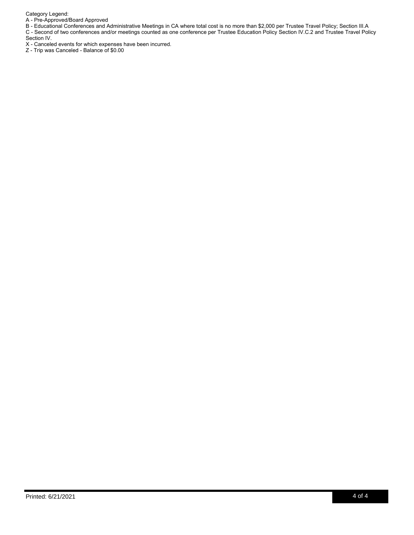Category Legend:

A - Pre-Approved/Board Approved

B - Educational Conferences and Administrative Meetings in CA where total cost is no more than \$2,000 per Trustee Travel Policy; Section III.A C - Second of two conferences and/or meetings counted as one conference per Trustee Education Policy Section IV.C.2 and Trustee Travel Policy Section IV.

X - Canceled events for which expenses have been incurred.

Z - Trip was Canceled - Balance of \$0.00